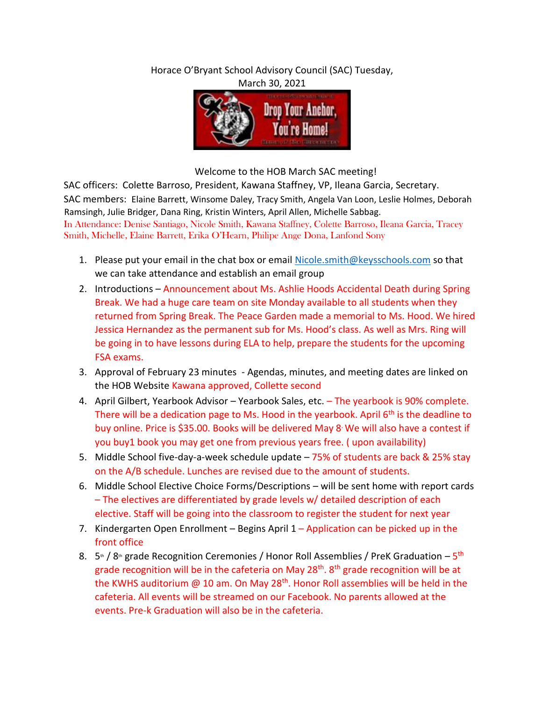Horace O'Bryant School Advisory Council (SAC) Tuesday, March 30, 2021



Welcome to the HOB March SAC meeting!

SAC officers: Colette Barroso, President, Kawana Staffney, VP, Ileana Garcia, Secretary. SAC members: Elaine Barrett, Winsome Daley, Tracy Smith, Angela Van Loon, Leslie Holmes, Deborah Ramsingh, Julie Bridger, Dana Ring, Kristin Winters, April Allen, Michelle Sabbag. In Attendance: Denise Santiago, Nicole Smith, Kawana Staffney, Colette Barroso, Ileana Garcia, Tracey Smith, Michelle, Elaine Barrett, Erika O'Hearn, Philipe Ange Dona, Lanfond Sony

- 1. Please put your email in the chat box or email Nicole.smith@keysschools.com so that we can take attendance and establish an email group
- 2. Introductions Announcement about Ms. Ashlie Hoods Accidental Death during Spring Break. We had a huge care team on site Monday available to all students when they returned from Spring Break. The Peace Garden made a memorial to Ms. Hood. We hired Jessica Hernandez as the permanent sub for Ms. Hood's class. As well as Mrs. Ring will be going in to have lessons during ELA to help, prepare the students for the upcoming FSA exams.
- 3. Approval of February 23 minutes Agendas, minutes, and meeting dates are linked on the HOB Website Kawana approved, Collette second
- 4. April Gilbert, Yearbook Advisor Yearbook Sales, etc. The yearbook is 90% complete. There will be a dedication page to Ms. Hood in the yearbook. April  $6<sup>th</sup>$  is the deadline to buy online. Price is \$35.00. Books will be delivered May 8 . We will also have a contest if you buy1 book you may get one from previous years free. ( upon availability)
- 5. Middle School five-day-a-week schedule update 75% of students are back & 25% stay on the A/B schedule. Lunches are revised due to the amount of students.
- 6. Middle School Elective Choice Forms/Descriptions will be sent home with report cards – The electives are differentiated by grade levels w/ detailed description of each elective. Staff will be going into the classroom to register the student for next year
- 7. Kindergarten Open Enrollment Begins April 1 Application can be picked up in the front office
- 8. 5<sup>th</sup> / 8<sup>th</sup> grade Recognition Ceremonies / Honor Roll Assemblies / PreK Graduation 5<sup>th</sup> grade recognition will be in the cafeteria on May  $28<sup>th</sup>$ .  $8<sup>th</sup>$  grade recognition will be at the KWHS auditorium @ 10 am. On May 28<sup>th</sup>. Honor Roll assemblies will be held in the cafeteria. All events will be streamed on our Facebook. No parents allowed at the events. Pre-k Graduation will also be in the cafeteria.